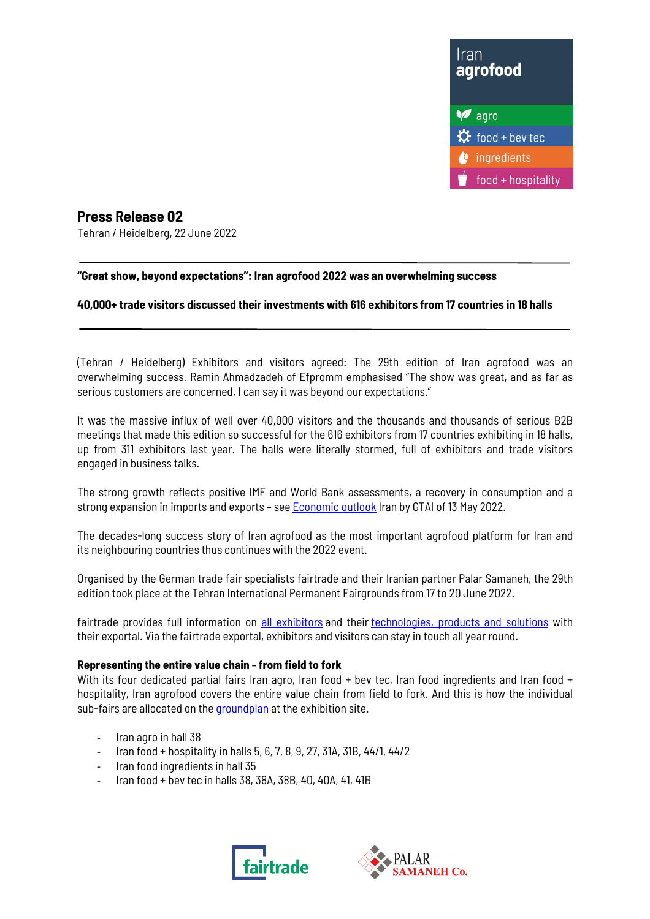

**Press Release 02**  Tehran / Heidelberg, 22 June 2022

## **"Great show, beyond expectations": Iran agrofood 2022 was an overwhelming success**

## **40,000+ trade visitors discussed their investments with 616 exhibitors from 17 countries in 18 halls**

(Tehran / Heidelberg) Exhibitors and visitors agreed: The 29th edition of Iran agrofood was an overwhelming success. Ramin Ahmadzadeh of Efpromm emphasised "The show was great, and as far as serious customers are concerned, I can say it was beyond our expectations."

It was the massive influx of well over 40,000 visitors and the thousands and thousands of serious B2B meetings that made this edition so successful for the 616 exhibitors from 17 countries exhibiting in 18 halls, up from 311 exhibitors last year. The halls were literally stormed, full of exhibitors and trade visitors engaged in business talks.

The strong growth reflects positive IMF and World Bank assessments, a recovery in consumption and a strong expansion in imports and exports - see **Economic outlook** Iran by GTAI of 13 May 2022.

The decades-long success story of Iran agrofood as the most important agrofood platform for Iran and its neighbouring countries thus continues with the 2022 event.

Organised by the German trade fair specialists fairtrade and their Iranian partner Palar Samaneh, the 29th edition took place at the Tehran International Permanent Fairgrounds from 17 to 20 June 2022.

fairtrade provides full information on all exhibitors and their technologies, products and solutions with their exportal. Via the fairtrade exportal, exhibitors and visitors can stay in touch all year round.

#### **Representing the entire value chain - from field to fork**

With its four dedicated partial fairs Iran agro, Iran food + bev tec, Iran food ingredients and Iran food + hospitality, Iran agrofood covers the entire value chain from field to fork. And this is how the individual sub-fairs are allocated on the **groundplan** at the exhibition site.

- Iran agro in hall 38
- Iran food + hospitality in halls 5, 6, 7, 8, 9, 27, 31A, 31B, 44/1, 44/2
- Iran food ingredients in hall 35
- Iran food + bev tec in halls 38, 38A, 38B, 40, 40A, 41, 41B



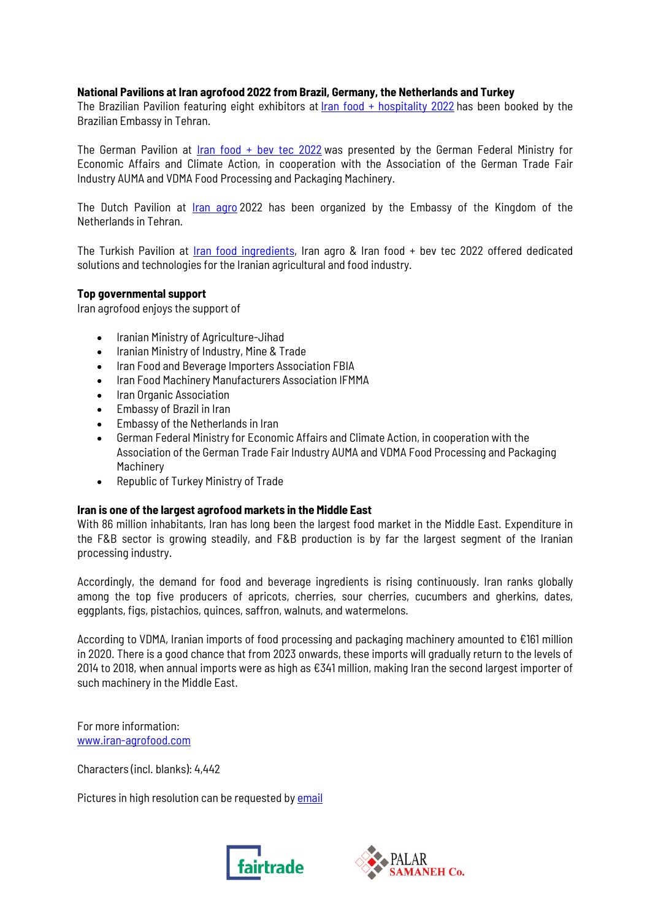#### **National Pavilions at Iran agrofood 2022 from Brazil, Germany, the Netherlands and Turkey**

The Brazilian Pavilion featuring eight exhibitors at Iran food + hospitality 2022 has been booked by the Brazilian Embassy in Tehran.

The German Pavilion at Iran food + bev tec 2022 was presented by the German Federal Ministry for Economic Affairs and Climate Action, in cooperation with the Association of the German Trade Fair Industry AUMA and VDMA Food Processing and Packaging Machinery.

The Dutch Pavilion at *Iran agro* 2022 has been organized by the Embassy of the Kingdom of the Netherlands in Tehran.

The Turkish Pavilion at Iran food ingredients, Iran agro & Iran food + bev tec 2022 offered dedicated solutions and technologies for the Iranian agricultural and food industry.

## **Top governmental support**

Iran agrofood enjoys the support of

- Iranian Ministry of Agriculture-Jihad
- Iranian Ministry of Industry, Mine & Trade
- Iran Food and Beverage Importers Association FBIA
- Iran Food Machinery Manufacturers Association IFMMA
- Iran Organic Association
- Embassy of Brazil in Iran
- Embassy of the Netherlands in Iran
- German Federal Ministry for Economic Affairs and Climate Action, in cooperation with the Association of the German Trade Fair Industry AUMA and VDMA Food Processing and Packaging Machinery
- Republic of Turkey Ministry of Trade

#### **Iran is one of the largest agrofood markets in the Middle East**

With 86 million inhabitants, Iran has long been the largest food market in the Middle East. Expenditure in the F&B sector is growing steadily, and F&B production is by far the largest segment of the Iranian processing industry.

Accordingly, the demand for food and beverage ingredients is rising continuously. Iran ranks globally among the top five producers of apricots, cherries, sour cherries, cucumbers and gherkins, dates, eggplants, figs, pistachios, quinces, saffron, walnuts, and watermelons.

According to VDMA, Iranian imports of food processing and packaging machinery amounted to €161 million in 2020. There is a good chance that from 2023 onwards, these imports will gradually return to the levels of 2014 to 2018, when annual imports were as high as €341 million, making Iran the second largest importer of such machinery in the Middle East.

For more information: www.iran-agrofood.com

Characters (incl. blanks): 4,442

Pictures in high resolution can be requested by email